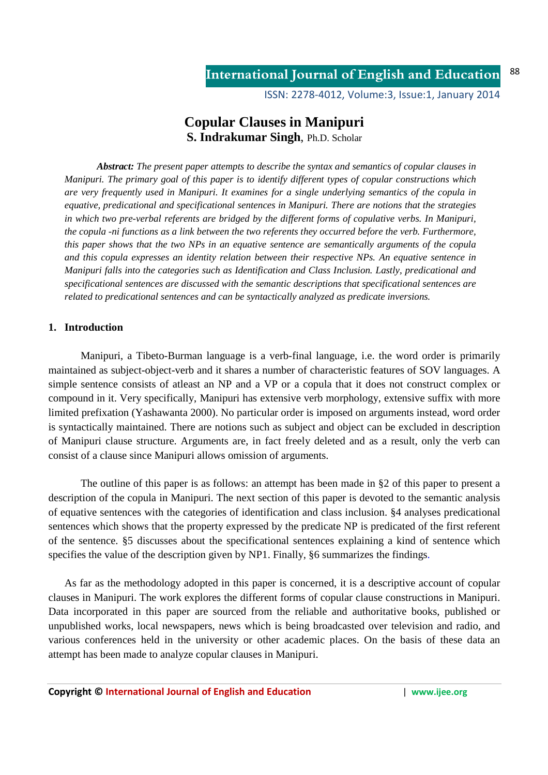ISSN: 2278-4012, Volume:3, Issue:1, January 2014

# **Copular Clauses in Manipuri S. Indrakumar Singh**, Ph.D. Scholar

*Abstract: The present paper attempts to describe the syntax and semantics of copular clauses in Manipuri. The primary goal of this paper is to identify different types of copular constructions which are very frequently used in Manipuri. It examines for a single underlying semantics of the copula in equative, predicational and specificational sentences in Manipuri. There are notions that the strategies in which two pre-verbal referents are bridged by the different forms of copulative verbs. In Manipuri, the copula -ni functions as a link between the two referents they occurred before the verb. Furthermore, this paper shows that the two NPs in an equative sentence are semantically arguments of the copula and this copula expresses an identity relation between their respective NPs. An equative sentence in Manipuri falls into the categories such as Identification and Class Inclusion. Lastly, predicational and specificational sentences are discussed with the semantic descriptions that specificational sentences are related to predicational sentences and can be syntactically analyzed as predicate inversions.* 

## **1. Introduction**

Manipuri, a Tibeto-Burman language is a verb-final language, i.e. the word order is primarily maintained as subject-object-verb and it shares a number of characteristic features of SOV languages. A simple sentence consists of atleast an NP and a VP or a copula that it does not construct complex or compound in it. Very specifically, Manipuri has extensive verb morphology, extensive suffix with more limited prefixation (Yashawanta 2000). No particular order is imposed on arguments instead, word order is syntactically maintained. There are notions such as subject and object can be excluded in description of Manipuri clause structure. Arguments are, in fact freely deleted and as a result, only the verb can consist of a clause since Manipuri allows omission of arguments.

The outline of this paper is as follows: an attempt has been made in §2 of this paper to present a description of the copula in Manipuri. The next section of this paper is devoted to the semantic analysis of equative sentences with the categories of identification and class inclusion. §4 analyses predicational sentences which shows that the property expressed by the predicate NP is predicated of the first referent of the sentence. §5 discusses about the specificational sentences explaining a kind of sentence which specifies the value of the description given by NP1. Finally, §6 summarizes the findings.

As far as the methodology adopted in this paper is concerned, it is a descriptive account of copular clauses in Manipuri. The work explores the different forms of copular clause constructions in Manipuri. Data incorporated in this paper are sourced from the reliable and authoritative books, published or unpublished works, local newspapers, news which is being broadcasted over television and radio, and various conferences held in the university or other academic places. On the basis of these data an attempt has been made to analyze copular clauses in Manipuri.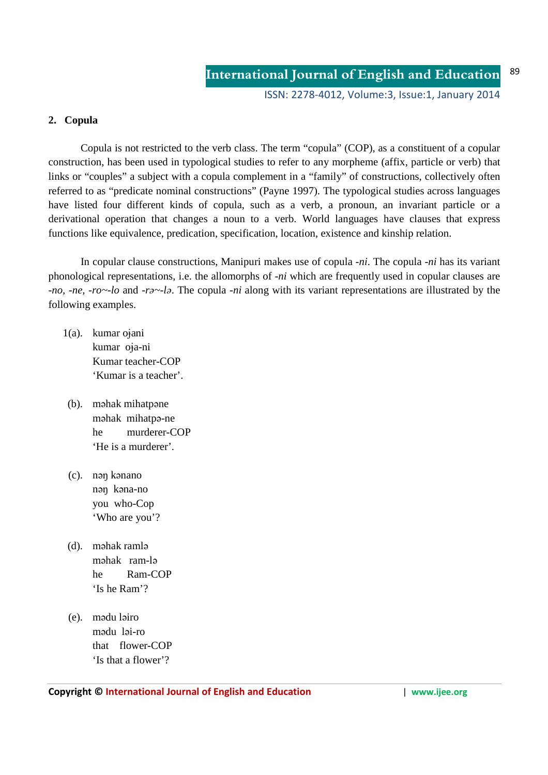## **2. Copula**

Copula is not restricted to the verb class. The term "copula" (COP), as a constituent of a copular construction, has been used in typological studies to refer to any morpheme (affix, particle or verb) that links or "couples" a subject with a copula complement in a "family" of constructions, collectively often referred to as "predicate nominal constructions" (Payne 1997). The typological studies across languages have listed four different kinds of copula, such as a verb, a pronoun, an invariant particle or a derivational operation that changes a noun to a verb. World languages have clauses that express functions like equivalence, predication, specification, location, existence and kinship relation.

 In copular clause constructions, Manipuri makes use of copula -*ni*. The copula -*ni* has its variant phonological representations, i.e. the allomorphs of -*ni* which are frequently used in copular clauses are -*no, -ne, -ro~-lo* and *-rə~-lə*. The copula -*ni* along with its variant representations are illustrated by the following examples.

- $1(a)$ . kumar ojani kumar oja-ni Kumar teacher-COP 'Kumar is a teacher'.
- (b). məhak mihatpəne məhak mihatpə-ne he murderer-COP 'He is a murderer'.
- (c). nəŋ kənano nəŋ kəna-no you who-Cop 'Who are you'?
- (d). məhak ramlə məhak ram-lə he Ram-COP 'Is he Ram'?
- (e). mədu ləiro mədu ləi-ro that flower-COP 'Is that a flower'?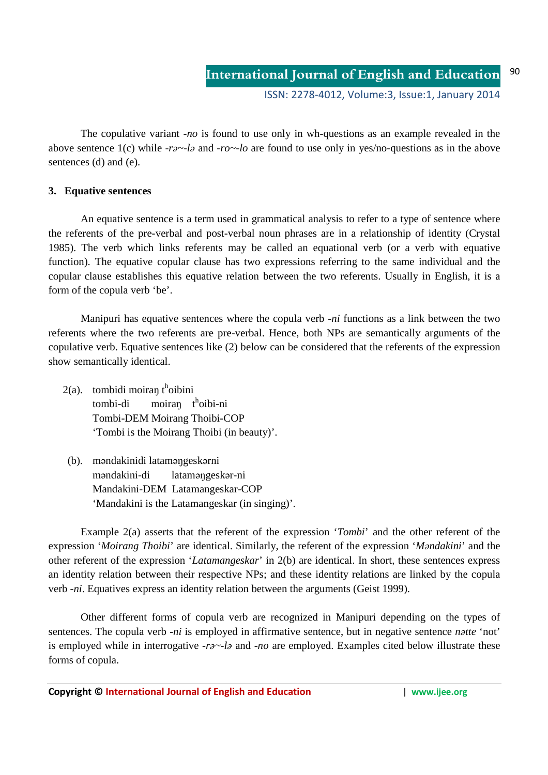The copulative variant -*no* is found to use only in wh-questions as an example revealed in the above sentence 1(c) while *-rə~-lə* and *-ro~-lo* are found to use only in yes/no-questions as in the above sentences (d) and (e).

## **3. Equative sentences**

An equative sentence is a term used in grammatical analysis to refer to a type of sentence where the referents of the pre-verbal and post-verbal noun phrases are in a relationship of identity (Crystal 1985). The verb which links referents may be called an equational verb (or a verb with equative function). The equative copular clause has two expressions referring to the same individual and the copular clause establishes this equative relation between the two referents. Usually in English, it is a form of the copula verb 'be'.

 Manipuri has equative sentences where the copula verb -*ni* functions as a link between the two referents where the two referents are pre-verbal. Hence, both NPs are semantically arguments of the copulative verb. Equative sentences like (2) below can be considered that the referents of the expression show semantically identical.

- $2(a)$ . tombidi moiran t<sup>h</sup>oibini tombi-di moiran t<sup>h</sup>oibi-ni Tombi-DEM Moirang Thoibi-COP 'Tombi is the Moirang Thoibi (in beauty)'.
	- (b). məndakinidi lataməŋgeskərni məndakini-di lataməŋgeskər-ni Mandakini-DEM Latamangeskar-COP 'Mandakini is the Latamangeskar (in singing)'.

Example 2(a) asserts that the referent of the expression '*Tombi*' and the other referent of the expression '*Moirang Thoibi*' are identical. Similarly, the referent of the expression '*Məndakini*' and the other referent of the expression '*Latamangeskar*' in 2(b) are identical. In short, these sentences express an identity relation between their respective NPs; and these identity relations are linked by the copula verb -*ni*. Equatives express an identity relation between the arguments (Geist 1999).

 Other different forms of copula verb are recognized in Manipuri depending on the types of sentences. The copula verb -*ni* is employed in affirmative sentence, but in negative sentence *nətte* 'not' is employed while in interrogative *-rə~-lə* and *-no* are employed. Examples cited below illustrate these forms of copula.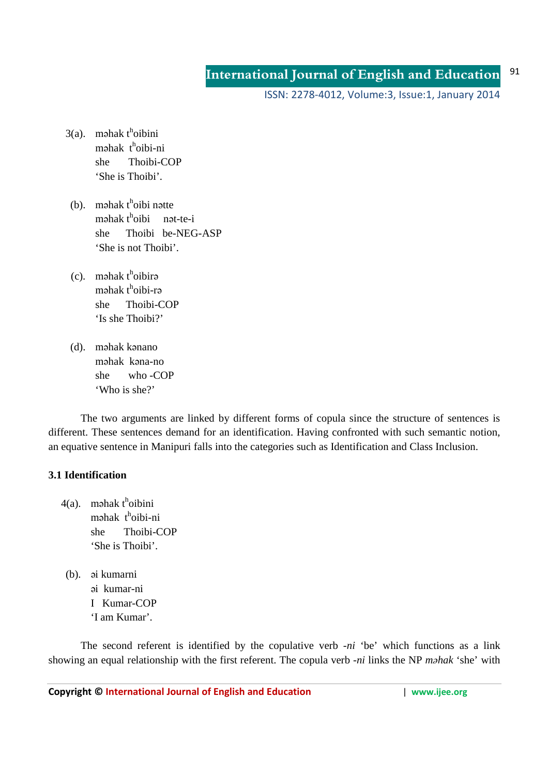ISSN: 2278-4012, Volume:3, Issue:1, January 2014

- $3(a)$ . məhak t<sup>h</sup>oibini məhak t<sup>h</sup>oibi-ni she Thoibi-COP 'She is Thoibi'.
	- $(b)$ . məhak t<sup>h</sup>oibi nətte  $m$ əhak t<sup>h</sup>oibi nət-te-i she Thoibi be-NEG-ASP 'She is not Thoibi'.
- $(c)$ . məhak t<sup>h</sup>oibirə məhak t<sup>h</sup>oibi-rə she Thoibi-COP 'Is she Thoibi?'
	- (d). məhak kənano məhak kəna-no she who -COP 'Who is she?'

The two arguments are linked by different forms of copula since the structure of sentences is different. These sentences demand for an identification. Having confronted with such semantic notion, an equative sentence in Manipuri falls into the categories such as Identification and Class Inclusion.

## **3.1 Identification**

 $4(a)$ . məhak t<sup>h</sup>oibini məhak t<sup>h</sup>oibi-ni she Thoibi-COP 'She is Thoibi'.

> (b). əi kumarni əi kumar-ni I Kumar-COP 'I am Kumar'.

The second referent is identified by the copulative verb -*ni* 'be' which functions as a link showing an equal relationship with the first referent. The copula verb -*ni* links the NP *məhak* 'she' with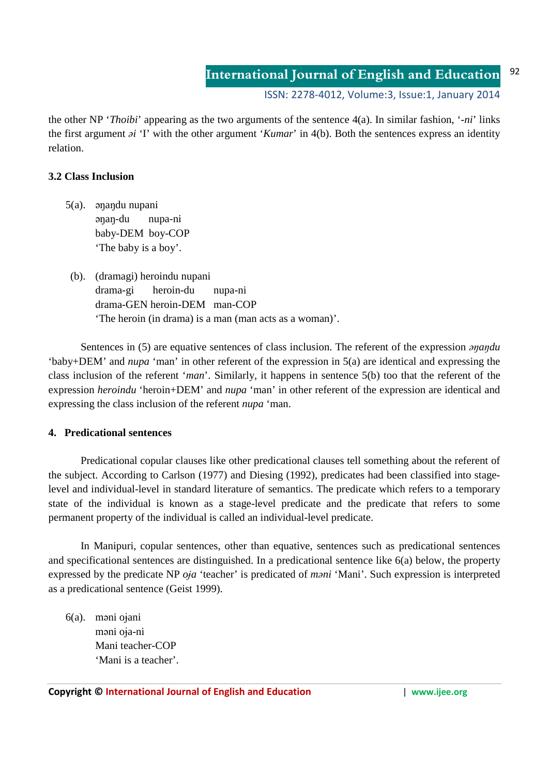ISSN: 2278-4012, Volume:3, Issue:1, January 2014

the other NP '*Thoibi*' appearing as the two arguments of the sentence 4(a). In similar fashion, '-*ni*' links the first argument *əi* 'I' with the other argument '*Kumar*' in 4(b). Both the sentences express an identity relation.

### **3.2 Class Inclusion**

- 5(a). əŋaŋdu nupani əŋaŋ-du nupa-ni baby-DEM boy-COP 'The baby is a boy'.
- (b). (dramagi) heroindu nupani drama-gi heroin-du nupa-ni drama-GEN heroin-DEM man-COP 'The heroin (in drama) is a man (man acts as a woman)'.

Sentences in (5) are equative sentences of class inclusion. The referent of the expression *əŋaŋdu*  'baby+DEM' and *nupa* 'man' in other referent of the expression in 5(a) are identical and expressing the class inclusion of the referent '*man*'. Similarly, it happens in sentence 5(b) too that the referent of the expression *heroindu* 'heroin+DEM' and *nupa* 'man' in other referent of the expression are identical and expressing the class inclusion of the referent *nupa* 'man.

### **4. Predicational sentences**

Predicational copular clauses like other predicational clauses tell something about the referent of the subject. According to Carlson (1977) and Diesing (1992), predicates had been classified into stagelevel and individual-level in standard literature of semantics. The predicate which refers to a temporary state of the individual is known as a stage-level predicate and the predicate that refers to some permanent property of the individual is called an individual-level predicate.

In Manipuri, copular sentences, other than equative, sentences such as predicational sentences and specificational sentences are distinguished. In a predicational sentence like 6(a) below, the property expressed by the predicate NP *oja* 'teacher' is predicated of *mani* 'Mani'. Such expression is interpreted as a predicational sentence (Geist 1999).

6(a). məni oɉani məni oja-ni Mani teacher-COP 'Mani is a teacher'.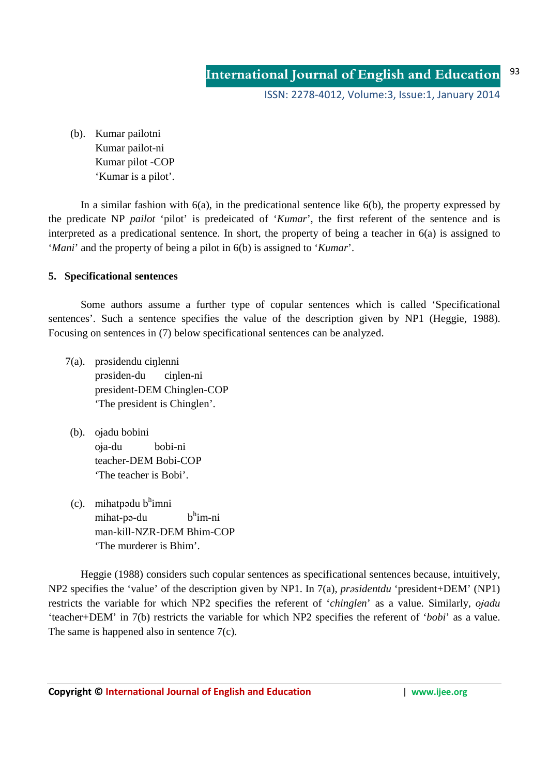(b). Kumar pailotni Kumar pailot-ni Kumar pilot -COP 'Kumar is a pilot'.

In a similar fashion with  $6(a)$ , in the predicational sentence like  $6(b)$ , the property expressed by the predicate NP *pailot* 'pilot' is predeicated of '*Kumar*', the first referent of the sentence and is interpreted as a predicational sentence. In short, the property of being a teacher in 6(a) is assigned to '*Mani*' and the property of being a pilot in 6(b) is assigned to '*Kumar*'.

## **5. Specificational sentences**

Some authors assume a further type of copular sentences which is called 'Specificational sentences'. Such a sentence specifies the value of the description given by NP1 (Heggie, 1988). Focusing on sentences in (7) below specificational sentences can be analyzed.

- 7(a). prəsidendu ciŋlenni prəsiden-du ciŋlen-ni president-DEM Chinglen-COP 'The president is Chinglen'.
- (b). oɉadu bobini oia-du bobi-ni teacher-DEM Bobi-COP 'The teacher is Bobi'.
- $(c)$ . mihatpədu b<sup>h</sup>imni mihat-pə-du  $h^{h}$ im-ni man-kill-NZR-DEM Bhim-COP 'The murderer is Bhim'.

Heggie (1988) considers such copular sentences as specificational sentences because, intuitively, NP2 specifies the 'value' of the description given by NP1. In 7(a), *prəsidentdu* 'president+DEM' (NP1) restricts the variable for which NP2 specifies the referent of '*chinglen*' as a value. Similarly, *ojadu* 'teacher+DEM' in 7(b) restricts the variable for which NP2 specifies the referent of '*bobi*' as a value. The same is happened also in sentence  $7(c)$ .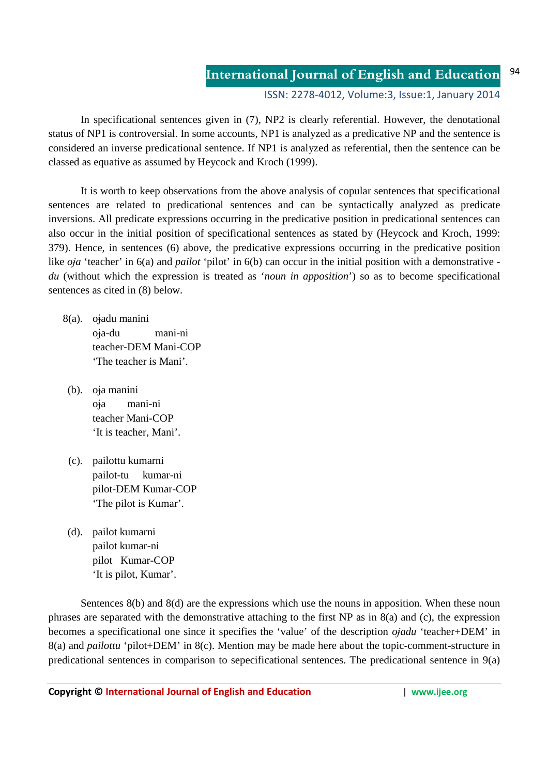ISSN: 2278-4012, Volume:3, Issue:1, January 2014

 In specificational sentences given in (7), NP2 is clearly referential. However, the denotational status of NP1 is controversial. In some accounts, NP1 is analyzed as a predicative NP and the sentence is considered an inverse predicational sentence. If NP1 is analyzed as referential, then the sentence can be classed as equative as assumed by Heycock and Kroch (1999).

 It is worth to keep observations from the above analysis of copular sentences that specificational sentences are related to predicational sentences and can be syntactically analyzed as predicate inversions. All predicate expressions occurring in the predicative position in predicational sentences can also occur in the initial position of specificational sentences as stated by (Heycock and Kroch, 1999: 379). Hence, in sentences (6) above, the predicative expressions occurring in the predicative position like *oja* 'teacher' in 6(a) and *pailot* 'pilot' in 6(b) can occur in the initial position with a demonstrative *du* (without which the expression is treated as '*noun in apposition*') so as to become specificational sentences as cited in (8) below.

- 8(a). ojadu manini oja-du mani-ni teacher-DEM Mani-COP 'The teacher is Mani'.
	- (b). oɉa manini oɉa mani-ni teacher Mani-COP 'It is teacher, Mani'.
	- (c). pailottu kumarni pailot-tu kumar-ni pilot-DEM Kumar-COP 'The pilot is Kumar'.
	- (d). pailot kumarni pailot kumar-ni pilot Kumar-COP 'It is pilot, Kumar'.

Sentences 8(b) and 8(d) are the expressions which use the nouns in apposition. When these noun phrases are separated with the demonstrative attaching to the first NP as in 8(a) and (c), the expression becomes a specificational one since it specifies the 'value' of the description *ojadu* 'teacher+DEM' in 8(a) and *pailottu* 'pilot+DEM' in 8(c). Mention may be made here about the topic-comment-structure in predicational sentences in comparison to sepecificational sentences. The predicational sentence in 9(a)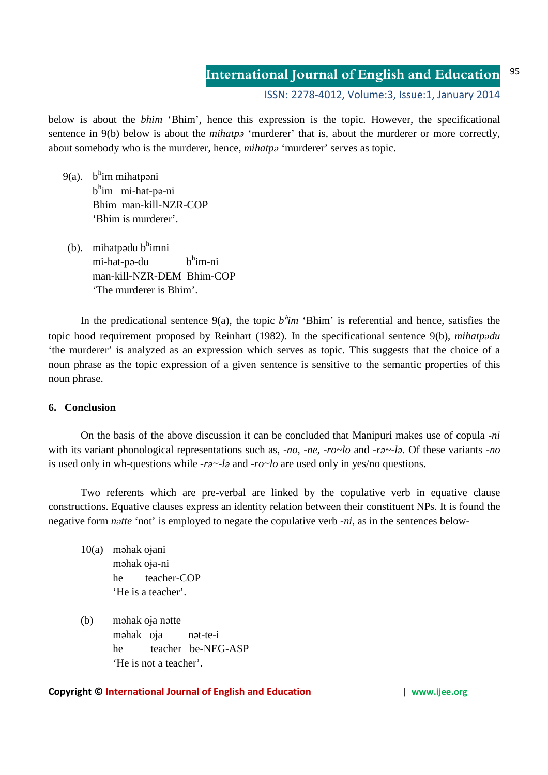ISSN: 2278-4012, Volume:3, Issue:1, January 2014

below is about the *bhim* 'Bhim', hence this expression is the topic. However, the specificational sentence in 9(b) below is about the *mihatpa* 'murderer' that is, about the murderer or more correctly, about somebody who is the murderer, hence, *mihatpə* 'murderer' serves as topic.

- 9(a). b<sup>h</sup>im mihatpəni b<sup>h</sup>im mi-hat-pə-ni Bhim man-kill-NZR-COP 'Bhim is murderer'.
	- $(b)$ . mihatpədu b $^{\text{h}}$ imni mi-hat-pə-du b<sup>h</sup> h<sup>h</sup>im-ni man-kill-NZR-DEM Bhim-COP 'The murderer is Bhim'.

In the predicational sentence  $9(a)$ , the topic  $b^h$ *im* 'Bhim' is referential and hence, satisfies the topic hood requirement proposed by Reinhart (1982). In the specificational sentence 9(b), *mihatpədu* 'the murderer' is analyzed as an expression which serves as topic. This suggests that the choice of a noun phrase as the topic expression of a given sentence is sensitive to the semantic properties of this noun phrase.

### **6. Conclusion**

On the basis of the above discussion it can be concluded that Manipuri makes use of copula -*ni* with its variant phonological representations such as, -*no, -ne, -ro~lo* and *-rə~-lə*. Of these variants -*no* is used only in wh-questions while *-rə~-lə* and -*ro~lo* are used only in yes/no questions.

Two referents which are pre-verbal are linked by the copulative verb in equative clause constructions. Equative clauses express an identity relation between their constituent NPs. It is found the negative form *natte* 'not' is employed to negate the copulative verb -*ni*, as in the sentences below-

- 10(a) məhak ojani məhak oɉa-ni he teacher-COP 'He is a teacher'.
- (b) məhak oɉa nətte məhak oja nət-te-i he teacher be-NEG-ASP 'He is not a teacher'.